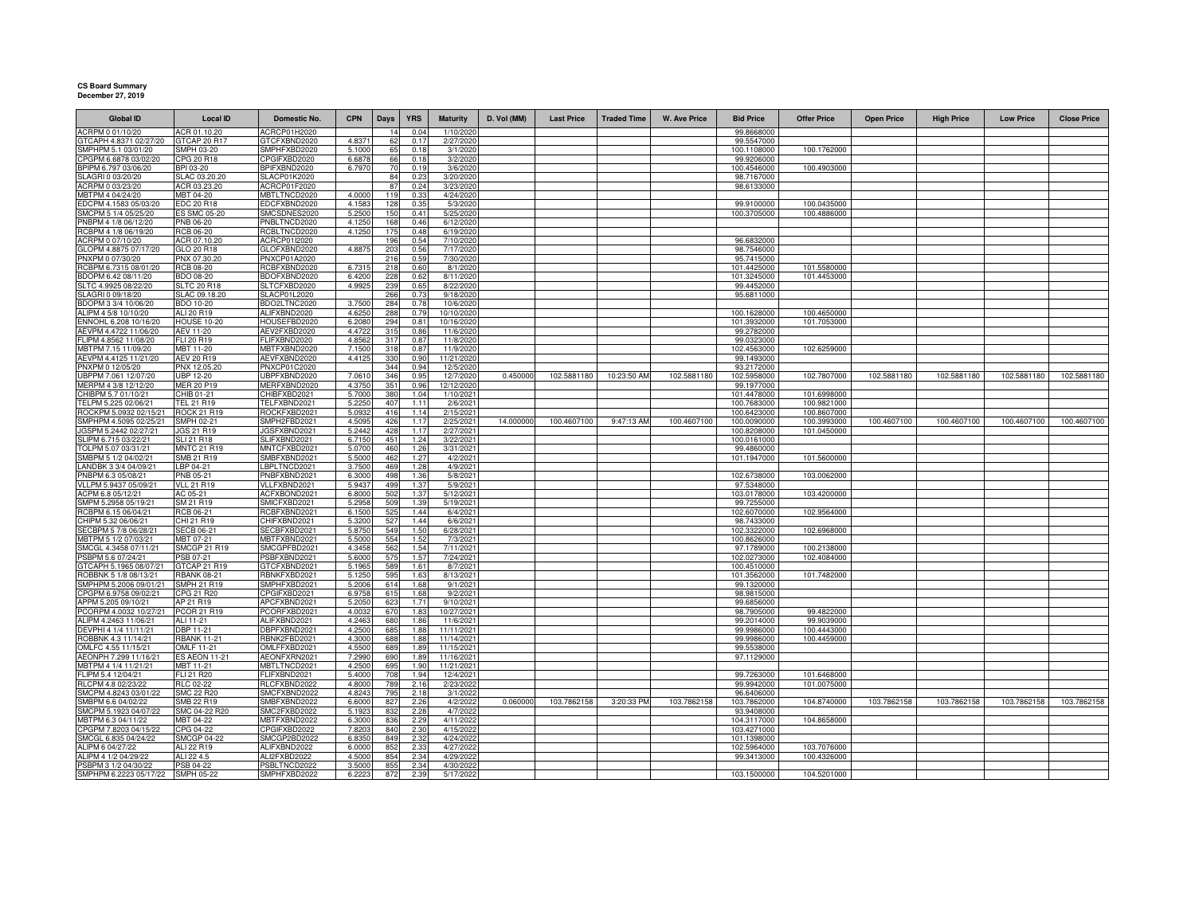## **CS Board Summary December 27, 2019**

| <b>Global ID</b>                              | <b>Local ID</b>                  | Domestic No.                       | <b>CPN</b>      | Days       | <b>YRS</b>       | <b>Maturity</b>         | D. Vol (MM) | <b>Last Price</b> | <b>Traded Time</b> | <b>W. Ave Price</b> | <b>Bid Price</b>           | <b>Offer Price</b>        | <b>Open Price</b> | <b>High Price</b> | <b>Low Price</b> | <b>Close Price</b> |
|-----------------------------------------------|----------------------------------|------------------------------------|-----------------|------------|------------------|-------------------------|-------------|-------------------|--------------------|---------------------|----------------------------|---------------------------|-------------------|-------------------|------------------|--------------------|
| ACRPM 0 01/10/20                              | ACR 01.10.20                     | ACRCP01H2020                       |                 | 14         | 0.04             | 1/10/202                |             |                   |                    |                     | 99.8668000                 |                           |                   |                   |                  |                    |
| GTCAPH 4.8371 02/27/20                        | GTCAP 20 R17                     | GTCFXBND2020                       | 4.8371          | 62         | 0.17             | 2/27/2020               |             |                   |                    |                     | 99.5547000                 |                           |                   |                   |                  |                    |
| SMPHPM 5.1 03/01/20                           | SMPH 03-20                       | SMPHFXBD2020                       | 5.1000          | 65         | 0.18             | 3/1/2020                |             |                   |                    |                     | 100.1108000                | 100.1762000               |                   |                   |                  |                    |
| CPGPM 6.6878 03/02/20                         | CPG 20 R18                       | CPGIFXBD2020                       | 6.6878          | 66         | 0.18             | 3/2/2020                |             |                   |                    |                     | 99.9206000                 |                           |                   |                   |                  |                    |
| BPIPM 6.797 03/06/20<br>SLAGRI 0 03/20/20     | BPI 03-20<br>SLAC 03.20.20       | BPIFXBND2020<br>SLACP01K2020       | 6,7970          | 70<br>84   | 0.19<br>0.23     | 3/6/2020<br>3/20/2020   |             |                   |                    |                     | 100.4546000<br>98.7167000  | 100.4903000               |                   |                   |                  |                    |
| ACRPM 0 03/23/20                              | ACR 03.23.20                     | ACRCP01F2020                       |                 | 87         | 0.24             | 3/23/2020               |             |                   |                    |                     | 98.6133000                 |                           |                   |                   |                  |                    |
| MBTPM 4 04/24/20                              | MBT 04-20                        | <b>MBTLTNCD2020</b>                | 4.000           | 119        | 0.33             | 4/24/2020               |             |                   |                    |                     |                            |                           |                   |                   |                  |                    |
| EDCPM 4.1583 05/03/20                         | <b>EDC 20 R18</b>                | EDCFXBND2020                       | 4.158           | 128        | 0.35             | 5/3/2020                |             |                   |                    |                     | 99.9100000                 | 100.0435000               |                   |                   |                  |                    |
| MCPM 5 1/4 05/25/20                           | <b>ES SMC 05-20</b>              | <b>SMCSDNES2020</b>                | 5.250           | 150        | 0.41             | 5/25/2020               |             |                   |                    |                     | 100.3705000                | 100.4886000               |                   |                   |                  |                    |
| PNBPM 4 1/8 06/12/20                          | <b>PNB 06-20</b>                 | PNBLTNCD2020                       | 4.125           | 168        | 0.46             | 6/12/2020               |             |                   |                    |                     |                            |                           |                   |                   |                  |                    |
| RCBPM 4 1/8 06/19/20<br>ACRPM 0 07/10/20      | <b>RCB 06-20</b><br>ACR 07.10.20 | RCBLTNCD2020<br>ACRCP01I2020       | 4.125           | 175<br>196 | 0.48<br>0.54     | 6/19/2020<br>7/10/2020  |             |                   |                    |                     | 96.6832000                 |                           |                   |                   |                  |                    |
| GLOPM 4.8875 07/17/20                         | GLO 20 R18                       | GLOFXBND2020                       | 4.887           | 203        | 0.56             | 7/17/2020               |             |                   |                    |                     | 98.7546000                 |                           |                   |                   |                  |                    |
| PNXPM 0 07/30/20                              | PNX 07.30.20                     | PNXCP01A2020                       |                 | 216        | 0.59             | 7/30/2020               |             |                   |                    |                     | 95.7415000                 |                           |                   |                   |                  |                    |
| RCBPM 6.7315 08/01/20                         | <b>RCB 08-20</b>                 | RCBFXBND2020                       | 6.731           | 218        | 0.60             | 8/1/2020                |             |                   |                    |                     | 101.4425000                | 101.5580000               |                   |                   |                  |                    |
| BDOPM 6.42 08/11/20                           | BDO 08-20                        | BDOFXBND2020                       | 6.420           | 228        | 0.62             | 8/11/2020               |             |                   |                    |                     | 101.3245000                | 101.4453000               |                   |                   |                  |                    |
| SLTC 4.9925 08/22/20                          | SLTC 20 R18                      | SLTCFXBD2020                       | 4.992           | 239        | 0.65             | 8/22/2020               |             |                   |                    |                     | 99.4452000                 |                           |                   |                   |                  |                    |
| SLAGRI 0 09/18/20                             | SLAC 09.18.20                    | SLACP01L2020                       |                 | 266        | 0.73             | 9/18/2020               |             |                   |                    |                     | 95.6811000                 |                           |                   |                   |                  |                    |
| BDOPM 3 3/4 10/06/20<br>ALIPM 4 5/8 10/10/20  | BDO 10-20<br>ALI 20 R19          | BDO2LTNC2020<br>ALIFXBND2020       | 3.750<br>4.625  | 284<br>288 | 0.78<br>0.79     | 10/6/2020<br>10/10/2020 |             |                   |                    |                     | 100.1628000                | 100.4650000               |                   |                   |                  |                    |
| ENNOHL 6.208 10/16/20                         | <b>HOUSE 10-20</b>               | HOUSEFBD202                        | 6.208           | 294        | 0.81             | 10/16/2020              |             |                   |                    |                     | 101.3932000                | 101.7053000               |                   |                   |                  |                    |
| AEVPM 4.4722 11/06/20                         | AEV 11-20                        | AEV2FXBD2020                       | 4.472           | 315        | 0.86             | 11/6/2020               |             |                   |                    |                     | 99.2782000                 |                           |                   |                   |                  |                    |
| FLIPM 4.8562 11/08/20                         | FLI 20 R19                       | FLIFXBND2020                       | 4.856           | 317        | 0.87             | 11/8/2020               |             |                   |                    |                     | 99.0323000                 |                           |                   |                   |                  |                    |
| MBTPM 7.15 11/09/20                           | MBT 11-20                        | MBTFXBND2020                       | 7.150           | 318        | 0.87             | 11/9/2020               |             |                   |                    |                     | 102.4563000                | 102.6259000               |                   |                   |                  |                    |
| AEVPM 4.4125 11/21/20                         | AEV 20 R19                       | AEVFXBND2020                       | 4.412           | 330        | 0.90             | 11/21/2020              |             |                   |                    |                     | 99.1493000                 |                           |                   |                   |                  |                    |
| PNXPM 0 12/05/20<br>JBPPM 7.061 12/07/20      | PNX 12.05.20<br><b>UBP 12-20</b> | PNXCP01C2020<br>JBPFXBND2020       | 7.061           | 344<br>346 | 0.9<br>0.95      | 12/5/2020<br>12/7/2020  | 0.45000     | 102.5881180       | 10:23:50 AM        | 102.5881180         | 93.2172000<br>102.5958000  | 102.7807000               | 102.5881180       | 102.5881180       | 102.5881180      | 102.5881180        |
| MERPM 4 3/8 12/12/20                          | <b>MER 20 P19</b>                | <b>MERFXBND2020</b>                | 4,375           | 351        | 0.96             | 12/12/2020              |             |                   |                    |                     | 99.1977000                 |                           |                   |                   |                  |                    |
| HIBPM 5.7 01/10/21                            | CHIB 01-21                       | CHIBFXBD2021                       | 5.700           | 380        | 1.04             | 1/10/2021               |             |                   |                    |                     | 101.4478000                | 101.6998000               |                   |                   |                  |                    |
| FELPM 5.225 02/06/21                          | TEL 21 R19                       | TELFXBND2021                       | 5.225           | 407        | 1.11             | 2/6/202                 |             |                   |                    |                     | 100.7683000                | 100.9821000               |                   |                   |                  |                    |
| ROCKPM 5.0932 02/15/21                        | <b>ROCK 21 R19</b>               | ROCKFXBD2021                       | 5.093           | 416        | 1.14             | 2/15/2021               |             |                   |                    |                     | 100.6423000                | 100.8607000               |                   |                   |                  |                    |
| SMPHPM 4.5095 02/25/21                        | SMPH 02-21                       | SMPH2FBD202                        | 4.509           | 426        | 11'              | 2/25/2021               | 14.00000    | 100.4607100       | 9:47:13 AM         | 100.4607100         | 100.0090000                | 100.3993000               | 100.4607100       | 100.4607100       | 100.4607100      | 100.4607100        |
| IGSPM 5.2442 02/27/21<br>SLIPM 6.715 03/22/21 | JGS 21 R19<br><b>SLI 21 R18</b>  | <b>IGSFXBND202</b><br>SLIFXBND2021 | 5.244<br>6.715  | 42<br>451  | 1.17<br>1.24     | 2/27/2021<br>3/22/2021  |             |                   |                    |                     | 100.8208000<br>100.0161000 | 101.0450000               |                   |                   |                  |                    |
| FOLPM 5.07 03/31/21                           | <b>MNTC 21 R19</b>               | MNTCFXBD2021                       | 5.070           | 460        | 1.26             | 3/31/2021               |             |                   |                    |                     | 99.4860000                 |                           |                   |                   |                  |                    |
| SMBPM 5 1/2 04/02/21                          | SMB 21 R19                       | SMBFXBND2021                       | 5.500           | 462        | 1.27             | 4/2/2021                |             |                   |                    |                     | 101.1947000                | 101.5600000               |                   |                   |                  |                    |
| LANDBK 3 3/4 04/09/21                         | LBP 04-21                        | BPLTNCD2021                        | 3.750           | 469        | 1.28             | 4/9/2021                |             |                   |                    |                     |                            |                           |                   |                   |                  |                    |
| PNBPM 6.3 05/08/21                            | PNB 05-21                        | PNBFXBND2021                       | 6.300           | 498        | 1.36             | 5/8/2021                |             |                   |                    |                     | 102.6738000                | 103.0062000               |                   |                   |                  |                    |
| VLLPM 5.9437 05/09/21                         | <b>VLL 21 R19</b>                | VLLFXBND2021                       | 5.943           | 499        | 1.37             | 5/9/2021                |             |                   |                    |                     | 97.5348000                 |                           |                   |                   |                  |                    |
| ACPM 6.8 05/12/21<br>SMPM 5.2958 05/19/21     | AC 05-21<br>SM 21 R19            | ACFXBOND2021<br>SMICFXBD2021       | 6.8000<br>5.295 | 502<br>509 | 1.37<br>1.39     | 5/12/2021<br>5/19/2021  |             |                   |                    |                     | 103.0178000<br>99.7255000  | 103.4200000               |                   |                   |                  |                    |
| RCBPM 6.15 06/04/21                           | RCB 06-21                        | RCBFXBND2021                       | 6.1500          | 525        | 1.44             | 6/4/2021                |             |                   |                    |                     | 102.6070000                | 102.9564000               |                   |                   |                  |                    |
| CHIPM 5.32 06/06/21                           | CHI 21 R19                       | CHIFXBND2021                       | 5.320           | 527        | 1.44             | 6/6/2021                |             |                   |                    |                     | 98.7433000                 |                           |                   |                   |                  |                    |
| SECBPM 5 7/8 06/28/2                          | <b>SECB 06-21</b>                | SECBFXBD2021                       | 5.875           | 549        | 1.50             | 6/28/2021               |             |                   |                    |                     | 102.3322000                | 102.6968000               |                   |                   |                  |                    |
| MBTPM 5 1/2 07/03/21                          | MBT 07-21                        | <b>MBTFXBND2021</b>                | 5.500           | 554        | 1.52             | 7/3/2021                |             |                   |                    |                     | 100.8626000                |                           |                   |                   |                  |                    |
| SMCGL 4.3458 07/11/21                         | <b>SMCGP 21 R19</b>              | SMCGPFBD2021                       | 4.345           | 562        | 1.54             | 7/11/2021               |             |                   |                    |                     | 97.1789000                 | 100.2138000               |                   |                   |                  |                    |
| SBPM 5.6 07/24/21<br>3TCAPH 5.1965 08/07/21   | PSB 07-21<br>GTCAP 21 R19        | SBFXBND2021<br>GTCFXBND2021        | 5.600<br>5.196  | 57<br>589  | 1.57<br>1.61     | 7/24/2021               |             |                   |                    |                     | 102.0273000<br>100.4510000 | 102.4084000               |                   |                   |                  |                    |
| ROBBNK 5 1/8 08/13/21                         | <b>RBANK 08-21</b>               | BNKFXBD2021                        | 5.125           | 595        | 1.63             | 8/7/2021<br>8/13/2021   |             |                   |                    |                     | 101.3562000                | 101.7482000               |                   |                   |                  |                    |
| SMPHPM 5.2006 09/01/21                        | <b>SMPH 21 R19</b>               | SMPHFXBD2021                       | 5.200           | 614        | 1.68             | 9/1/2021                |             |                   |                    |                     | 99.1320000                 |                           |                   |                   |                  |                    |
| CPGPM 6.9758 09/02/21                         | CPG 21 R20                       | PGIFXBD2021                        | 6.975           | 615        | 1.68             | 9/2/202                 |             |                   |                    |                     | 98.9815000                 |                           |                   |                   |                  |                    |
| APPM 5.205 09/10/21                           | AP 21 R19                        | APCFXBND2021                       | 5.205           | 623        | 1.71             | 9/10/202                |             |                   |                    |                     | 99.6856000                 |                           |                   |                   |                  |                    |
| PCORPM 4.0032 10/27/21                        | PCOR 21 R19                      | CORFXBD2021                        | 4.003           | 670        | 1.83             | 10/27/2021              |             |                   |                    |                     | 98.7905000                 | 99.4822000                |                   |                   |                  |                    |
| ALIPM 4.2463 11/06/21<br>EVPHI 4 1/4 11/11/21 | ALI 11-21<br>DBP 11-21           | ALIFXBND2021<br>BPFXBND2021        | 4.246<br>4.250  | 680<br>685 | 1.86<br>1.88     | 11/6/2021<br>11/11/2021 |             |                   |                    |                     | 99.2014000<br>99.9986000   | 99.9039000<br>100.4443000 |                   |                   |                  |                    |
| ROBBNK 4.3 11/14/21                           | <b>RBANK 11-21</b>               | BNK2FBD2021                        | 4,300           | 688        | 1.88             | 11/14/2021              |             |                   |                    |                     | 99.9986000                 | 100.4459000               |                   |                   |                  |                    |
| OMLFC 4.55 11/15/21                           | <b>OMLF 11-21</b>                | MLFFXBD2021                        | 4.550           | 689        | 1.89             | 11/15/2021              |             |                   |                    |                     | 99.5538000                 |                           |                   |                   |                  |                    |
| AEONPH 7.299 11/16/21                         | <b>ES AEON 11-21</b>             | AEONFXRN2021                       | 7.299           | 690        | 1.89             | 11/16/2021              |             |                   |                    |                     | 97.1129000                 |                           |                   |                   |                  |                    |
| MBTPM 4 1/4 11/21/21                          | MBT 11-21                        | <b>/BTLTNCD2021</b>                | 4.250           | 695        | 1.90             | 11/21/2021              |             |                   |                    |                     |                            |                           |                   |                   |                  |                    |
| FLIPM 5.4 12/04/21                            | FLI 21 R20                       | FLIFXBND2021                       | 5.400           | 708        | 1.94             | 12/4/2021               |             |                   |                    |                     | 99.7263000                 | 101.6468000               |                   |                   |                  |                    |
| RLCPM 4.8 02/23/22<br>SMCPM 4.8243 03/01/22   | RLC 02-22<br><b>SMC 22 R20</b>   | RLCFXBND2022<br>SMCFXBND2022       | 4.800<br>4.824  | 789<br>795 | 2.16<br>2.18     | 2/23/2022<br>3/1/2022   |             |                   |                    |                     | 99.9942000<br>96.6406000   | 101.0075000               |                   |                   |                  |                    |
| SMBPM 6.6 04/02/22                            | SMB 22 R19                       | SMBFXBND2022                       | 6.600           | 827        | 2.26             | 4/2/2022                | 0.060000    | 103.7862158       | 3:20:33 PM         | 103.7862158         | 103.7862000                | 104.8740000               | 103.7862158       | 103.7862158       | 103.7862158      | 103.7862158        |
| SMCPM 5.1923 04/07/22                         | SMC 04-22 R20                    | SMC2FXBD2022                       | 5.192           | 832        | 2.28             | 4/7/2022                |             |                   |                    |                     | 93.9408000                 |                           |                   |                   |                  |                    |
| MBTPM 6.3 04/11/22                            | MBT 04-22                        | <b>MBTFXBND2022</b>                | 6.300           | 836        | 2.29             | 4/11/2022               |             |                   |                    |                     | 104.3117000                | 104.8658000               |                   |                   |                  |                    |
| CPGPM 7.8203 04/15/22                         | CPG 04-22                        | CPGIFXBD2022                       | 7.820           | 840        | 2.30             | 4/15/2022               |             |                   |                    |                     | 103.4271000                |                           |                   |                   |                  |                    |
| SMCGL 6.835 04/24/22<br>ALIPM 6 04/27/22      | <b>SMCGP 04-22</b><br>ALI 22 R19 | SMCGP2BD2022<br>ALIFXBND2022       | 6.835<br>6.000  | 849<br>852 | 2.32<br>2.3      | 4/24/2022<br>4/27/2022  |             |                   |                    |                     | 101.1398000<br>102.5964000 | 103.7076000               |                   |                   |                  |                    |
| ALIPM 4 1/2 04/29/22                          | ALI 22 4.5                       | ALI2FXBD2022                       | 4.500           | 854        | 2.3 <sub>°</sub> | 4/29/202                |             |                   |                    |                     | 99.3413000                 | 100.4326000               |                   |                   |                  |                    |
| PSBPM 3 1/2 04/30/22                          | PSB 04-22                        | PSBLTNCD2022                       | 3.500           | 855        | 2.34             | 4/30/2022               |             |                   |                    |                     |                            |                           |                   |                   |                  |                    |
| SMPHPM 6.2223 05/17/22                        | <b>SMPH 05-22</b>                | SMPHFXBD2022                       | 6.222           | 87         | 2.39             | 5/17/2022               |             |                   |                    |                     | 103.1500000                | 104.5201000               |                   |                   |                  |                    |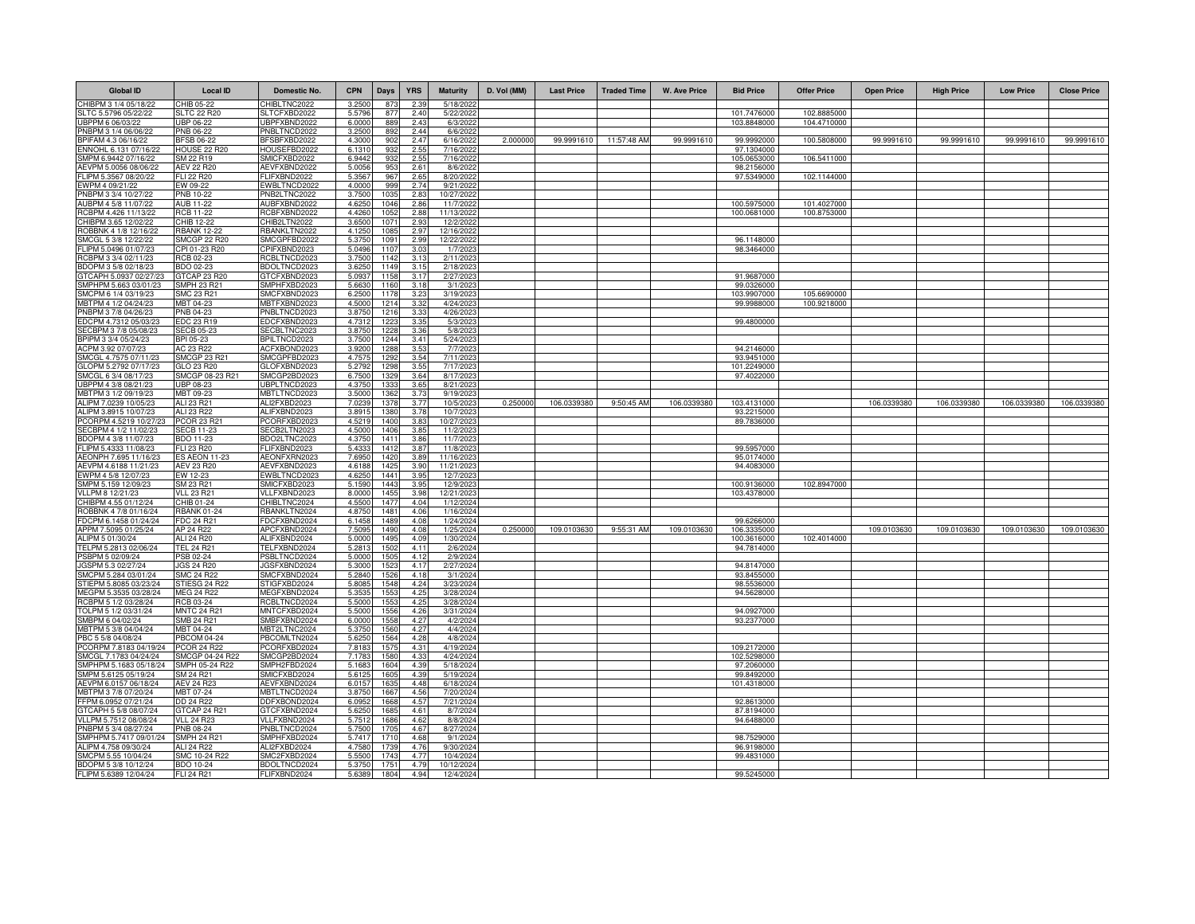| <b>Global ID</b>                               | <b>Local ID</b>                     | Domestic No.                 | <b>CPN</b>       | <b>Days</b>     | <b>YRS</b>       | <b>Maturity</b>         | D. Vol (MM) | <b>Last Price</b> | <b>Traded Time</b> | <b>W. Ave Price</b> | <b>Bid Price</b>          | <b>Offer Price</b>         | <b>Open Price</b> | <b>High Price</b> | <b>Low Price</b> | <b>Close Price</b> |
|------------------------------------------------|-------------------------------------|------------------------------|------------------|-----------------|------------------|-------------------------|-------------|-------------------|--------------------|---------------------|---------------------------|----------------------------|-------------------|-------------------|------------------|--------------------|
| CHIBPM 3 1/4 05/18/22                          | HIB 05-22                           | CHIBLTNC2022                 | 3.2500           | 873             | 2.39             | 5/18/202                |             |                   |                    |                     |                           |                            |                   |                   |                  |                    |
| SLTC 5.5796 05/22/22                           | LTC 22 R20                          | SLTCFXBD2022                 | 5.5796           | 877             | 2.40             | 5/22/2022               |             |                   |                    |                     | 101.7476000               | 102.8885000                |                   |                   |                  |                    |
| UBPPM 6 06/03/22                               | UBP 06-22                           | UBPFXBND2022<br>PNBLTNCD2022 | 6.0000           | 889<br>892      | 2.43<br>2.44     | 6/3/2022                |             |                   |                    |                     | 103.8848000               | 104.4710000                |                   |                   |                  |                    |
| PNBPM 3 1/4 06/06/22<br>BPIFAM 4.3 06/16/22    | PNB 06-22<br><b>BFSB 06-22</b>      | BFSBFXBD2022                 | 3.2500<br>4.3000 | 902             | 2.47             | 6/6/2022<br>6/16/2022   | 2.00000     | 99.9991610        | 11:57:48 AM        | 99.9991610          | 99.9992000                | 100.5808000                | 99.9991610        | 99.9991610        | 99.9991610       | 99.9991610         |
| ENNOHL 6.131 07/16/22                          | HOUSE 22 R20                        | HOUSEFBD2022                 | 6.131            | 93              | 2.55             | 7/16/2022               |             |                   |                    |                     | 97.1304000                |                            |                   |                   |                  |                    |
| SMPM 6.9442 07/16/22                           | SM 22 R19                           | SMICFXBD2022                 | 6.944            | 93              | 2.55             | 7/16/2022               |             |                   |                    |                     | 105.0653000               | 106.5411000                |                   |                   |                  |                    |
| AEVPM 5.0056 08/06/22                          | AEV 22 R20                          | AEVFXBND2022                 | 5.005            | 953             | 2.61             | 8/6/2022                |             |                   |                    |                     | 98.2156000                |                            |                   |                   |                  |                    |
| FLIPM 5.3567 08/20/22<br>EWPM 4 09/21/22       | <b>FLI 22 R20</b>                   | FLIFXBND2022                 | 5.356            | 967<br>999      | 2.65<br>2.74     | 8/20/2022               |             |                   |                    |                     | 97.5349000                | 102.1144000                |                   |                   |                  |                    |
| PNBPM 3 3/4 10/27/22                           | EW 09-22<br>PNB 10-22               | EWBLTNCD2022<br>PNB2LTNC2022 | 4.000<br>3.7500  | 1035            | 2.83             | 9/21/2022<br>10/27/2022 |             |                   |                    |                     |                           |                            |                   |                   |                  |                    |
| AUBPM 4 5/8 11/07/22                           | AUB 11-22                           | AUBFXBND2022                 | 4.6250           | 1046            | 2.86             | 11/7/2022               |             |                   |                    |                     | 100.5975000               | 101.4027000                |                   |                   |                  |                    |
| RCBPM 4.426 11/13/22                           | RCB 11-22                           | RCBFXBND2022                 | 4.4260           | 1052            | 2.88             | 11/13/2022              |             |                   |                    |                     | 100.0681000               | 100.8753000                |                   |                   |                  |                    |
| CHIBPM 3.65 12/02/22                           | CHIB 12-22                          | CHIB2LTN2022                 | 3.650            | 107             | 2.93             | 12/2/202                |             |                   |                    |                     |                           |                            |                   |                   |                  |                    |
| ROBBNK 4 1/8 12/16/22                          | <b>RBANK 12-22</b>                  | RBANKLTN2022                 | 4.1250           | 1085            | 2.97             | 12/16/202               |             |                   |                    |                     |                           |                            |                   |                   |                  |                    |
| SMCGL 5 3/8 12/22/22<br>FLIPM 5.0496 01/07/23  | <b>SMCGP 22 R20</b><br>PI 01-23 R20 | SMCGPFBD2022<br>CPIFXBND2023 | 5.375<br>5.049   | $109 -$<br>1107 | 2.99<br>3.03     | 12/22/2022<br>1/7/2023  |             |                   |                    |                     | 96.1148000<br>98.3464000  |                            |                   |                   |                  |                    |
| RCBPM 3 3/4 02/11/23                           | <b>ICB 02-23</b>                    | <b>RCBLTNCD2023</b>          | 3.7500           | 114             | 3.13             | 2/11/202                |             |                   |                    |                     |                           |                            |                   |                   |                  |                    |
| BDOPM 3 5/8 02/18/23                           | BDO 02-23                           | BDOLTNCD2023                 | 3.625            | 1149            | 3.15             | 2/18/2023               |             |                   |                    |                     |                           |                            |                   |                   |                  |                    |
| GTCAPH 5.0937 02/27/23                         | <b>GTCAP 23 R20</b>                 | GTCFXBND2023                 | 5.093            | 1158            | 3.17             | 2/27/2023               |             |                   |                    |                     | 91.9687000                |                            |                   |                   |                  |                    |
| SMPHPM 5.663 03/01/23                          | <b>SMPH 23 R21</b>                  | SMPHFXBD2023                 | 5.6630           | 1160            | 3.18             | 3/1/2023                |             |                   |                    |                     | 99.0326000                |                            |                   |                   |                  |                    |
| SMCPM 6 1/4 03/19/23<br>MBTPM 4 1/2 04/24/23   | <b>SMC 23 R21</b><br>MBT 04-23      | SMCFXBND2023<br>MBTFXBND2023 | 6.250<br>4.500   | 117<br>121      | 3.2<br>3.32      | 3/19/202<br>4/24/2023   |             |                   |                    |                     | 103.9907000<br>99.9988000 | 105.6690000<br>100.9218000 |                   |                   |                  |                    |
| PNBPM 3 7/8 04/26/23                           | PNB 04-23                           | PNBLTNCD2023                 | 3.875            | 121             | 3.3              | 4/26/2023               |             |                   |                    |                     |                           |                            |                   |                   |                  |                    |
| EDCPM 4.7312 05/03/23                          | EDC 23 R19                          | EDCFXBND2023                 | 4.731            | 1223            | 3.35             | 5/3/2023                |             |                   |                    |                     | 99.4800000                |                            |                   |                   |                  |                    |
| SECBPM 3 7/8 05/08/23                          | <b>SECB 05-23</b>                   | SECBLTNC2023                 | 3.875            | 122             | 3.3 <sub>1</sub> | 5/8/2023                |             |                   |                    |                     |                           |                            |                   |                   |                  |                    |
| BPIPM 3 3/4 05/24/23                           | BPI 05-23                           | BPILTNCD2023                 | 3.7500           | 1244            | 3.41             | 5/24/2023               |             |                   |                    |                     |                           |                            |                   |                   |                  |                    |
| ACPM 3.92 07/07/23                             | AC 23 R22                           | ACFXBOND2023                 | 3.920            | 1288            | 3.53             | 7/7/2023                |             |                   |                    |                     | 94.2146000                |                            |                   |                   |                  |                    |
| SMCGL 4.7575 07/11/23<br>GLOPM 5.2792 07/17/23 | <b>SMCGP 23 R21</b><br>GLO 23 R20   | SMCGPFBD2023<br>GLOFXBND2023 | 4.757<br>5.279   | 1292<br>1298    | 3.54<br>3.55     | 7/11/2023<br>7/17/2023  |             |                   |                    |                     | 93.9451000<br>101.2249000 |                            |                   |                   |                  |                    |
| SMCGL 6 3/4 08/17/23                           | SMCGP 08-23 R21                     | SMCGP2BD2023                 | 6.7500           | 1329            | 3.64             | 8/17/2023               |             |                   |                    |                     | 97.4022000                |                            |                   |                   |                  |                    |
| UBPPM 4 3/8 08/21/23                           | JBP 08-23                           | JBPLTNCD2023                 | 4.375            | 133             | 3.65             | 8/21/2023               |             |                   |                    |                     |                           |                            |                   |                   |                  |                    |
| MBTPM 3 1/2 09/19/23                           | MBT 09-23                           | MBTLTNCD2023                 | 3,5000           | 1362            | 3.73             | 9/19/2023               |             |                   |                    |                     |                           |                            |                   |                   |                  |                    |
| ALIPM 7.0239 10/05/23                          | ALI 23 R21                          | ALI2FXBD2023                 | 7.023            | 1378            | 3.77             | 10/5/2023               | 0.250000    | 106.0339380       | 9:50:45 AM         | 106.0339380         | 103.4131000               |                            | 106.0339380       | 106.0339380       | 106.0339380      | 106.0339380        |
| ALIPM 3.8915 10/07/23<br>PCORPM 4.5219 10/27/2 | ALI 23 R22<br>PCOR 23 R21           | ALIFXBND2023<br>PCORFXBD2023 | 3.891<br>4.5219  | 1380<br>1400    | 3.78<br>3.83     | 10/7/2023<br>10/27/2023 |             |                   |                    |                     | 93.2215000<br>89.7836000  |                            |                   |                   |                  |                    |
| SECBPM 4 1/2 11/02/23                          | <b>SECB 11-23</b>                   | SECB2LTN2023                 | 4.5000           | 1406            | 3.85             | 11/2/2023               |             |                   |                    |                     |                           |                            |                   |                   |                  |                    |
| BDOPM 4 3/8 11/07/23                           | BDO 11-23                           | BDO2LTNC2023                 | 4.375            | 141'            | 3.86             | 11/7/2023               |             |                   |                    |                     |                           |                            |                   |                   |                  |                    |
| FLIPM 5.4333 11/08/23                          | FLI 23 R20                          | FLIFXBND2023                 | 5.433            | 141             | 3.87             | 11/8/2023               |             |                   |                    |                     | 99.5957000                |                            |                   |                   |                  |                    |
| AEONPH 7.695 11/16/23                          | S AEON 11-23                        | AEONFXRN2023                 | 7.695            | 142(            | 3.89             | 11/16/2023              |             |                   |                    |                     | 95.0174000                |                            |                   |                   |                  |                    |
| AEVPM 4.6188 11/21/23<br>EWPM 4 5/8 12/07/23   | AEV 23 R20<br>EW 12-23              | AEVFXBND2023<br>EWBLTNCD2023 | 4.618<br>4.625   | 142<br>144      | 3.90<br>3.95     | 11/21/2023<br>12/7/2023 |             |                   |                    |                     | 94.4083000                |                            |                   |                   |                  |                    |
| SMPM 5.159 12/09/23                            | SM 23 R21                           | SMICFXBD2023                 | 5.159            | 1443            | 3.95             | 12/9/2023               |             |                   |                    |                     | 100.9136000               | 102.8947000                |                   |                   |                  |                    |
| VLLPM 8 12/21/23                               | <b>VLL 23 R21</b>                   | VLLFXBND2023                 | 8.000            | 1455            | 3.98             | 12/21/2023              |             |                   |                    |                     | 103.4378000               |                            |                   |                   |                  |                    |
| CHIBPM 4.55 01/12/24                           | CHIB 01-24                          | CHIBLTNC2024                 | 4.5500           | 1477            | 4.04             | 1/12/2024               |             |                   |                    |                     |                           |                            |                   |                   |                  |                    |
| ROBBNK 4 7/8 01/16/24                          | <b>RBANK 01-24</b>                  | RBANKLTN2024                 | 4.875            | 1481            | 4.06             | 1/16/2024               |             |                   |                    |                     |                           |                            |                   |                   |                  |                    |
| FDCPM 6.1458 01/24/24<br>APPM 7.5095 01/25/24  | FDC 24 R21<br>AP 24 R22             | DCFXBND2024<br>APCFXBND2024  | 6.145<br>7.509   | 1489<br>1490    | 4.08<br>4.08     | 1/24/2024<br>1/25/2024  | 0.250000    | 109.0103630       | 9:55:31 AM         | 109.0103630         | 99.6266000<br>106.3335000 |                            | 109.0103630       | 109.0103630       | 109.0103630      | 109.0103630        |
| ALIPM 5 01/30/24                               | ALI 24 R20                          | ALIFXBND2024                 | 5.000            | 1495            | 4.09             | 1/30/2024               |             |                   |                    |                     | 100.3616000               | 102.4014000                |                   |                   |                  |                    |
| TELPM 5.2813 02/06/24                          | <b>TEL 24 R21</b>                   | TELFXBND2024                 | 5.281            | 1502            | 4.11             | 2/6/2024                |             |                   |                    |                     | 94.7814000                |                            |                   |                   |                  |                    |
| PSBPM 5 02/09/24                               | <b>SB 02-24</b>                     | SBLTNCD2024                  | 5.000            | 150             | 4.12             | 2/9/2024                |             |                   |                    |                     |                           |                            |                   |                   |                  |                    |
| JGSPM 5.3 02/27/24                             | JGS 24 R20                          | JGSFXBND2024                 | 5.3000           | 152             | 4.17             | 2/27/2024               |             |                   |                    |                     | 94.8147000                |                            |                   |                   |                  |                    |
| SMCPM 5.284 03/01/24<br>STIEPM 5.8085 03/23/24 | <b>SMC 24 R22</b><br>STIESG 24 R22  | SMCFXBND2024<br>STIGFXBD2024 | 5.2840<br>5.8085 | 1526<br>1548    | 4.18<br>4.24     | 3/1/2024<br>3/23/2024   |             |                   |                    |                     | 93.8455000<br>98.5536000  |                            |                   |                   |                  |                    |
| MEGPM 5.3535 03/28/24                          | <b>MEG 24 R22</b>                   | MEGFXBND2024                 | 5.353            | 1553            | 4.25             | 3/28/2024               |             |                   |                    |                     | 94.5628000                |                            |                   |                   |                  |                    |
| RCBPM 5 1/2 03/28/24                           | RCB 03-24                           | RCBLTNCD2024                 | 5,5000           | 155             | 4.25             | 3/28/2024               |             |                   |                    |                     |                           |                            |                   |                   |                  |                    |
| TOLPM 5 1/2 03/31/24                           | <b>MNTC 24 R21</b>                  | MNTCFXBD2024                 | 5.500            | 155             | 4.26             | 3/31/2024               |             |                   |                    |                     | 94.0927000                |                            |                   |                   |                  |                    |
| SMBPM 6 04/02/24                               | <b>SMB 24 R21</b>                   | SMBFXBND2024                 | 6,000            | 1558            | 4.27             | 4/2/2024                |             |                   |                    |                     | 93.2377000                |                            |                   |                   |                  |                    |
| MBTPM 5 3/8 04/04/24<br>PBC 5 5/8 04/08/24     | MBT 04-24<br><b>PBCOM 04-24</b>     | MBT2LTNC2024<br>PBCOMLTN2024 | 5.375<br>5.625   | 1560<br>1564    | 4.27<br>4.28     | 4/4/2024<br>4/8/2024    |             |                   |                    |                     |                           |                            |                   |                   |                  |                    |
| PCORPM 7.8183 04/19/24                         | <b>PCOR 24 R22</b>                  | PCORFXBD2024                 | 7.818            | 1575            | 4.31             | 4/19/2024               |             |                   |                    |                     | 109.2172000               |                            |                   |                   |                  |                    |
| SMCGL 7.1783 04/24/24                          | SMCGP 04-24 R22                     | SMCGP2BD2024                 | 7.1783           | 1580            | 4.33             | 4/24/2024               |             |                   |                    |                     | 102.5298000               |                            |                   |                   |                  |                    |
| SMPHPM 5.1683 05/18/24                         | SMPH 05-24 R22                      | SMPH2FBD2024                 | 5.1683           | 1604            | 4.39             | 5/18/2024               |             |                   |                    |                     | 97.2060000                |                            |                   |                   |                  |                    |
| SMPM 5.6125 05/19/24                           | SM 24 R21                           | SMICFXBD2024                 | 5.612            | 1605            | 4.39             | 5/19/2024               |             |                   |                    |                     | 99.8492000                |                            |                   |                   |                  |                    |
| AEVPM 6.0157 06/18/24<br>MBTPM 3 7/8 07/20/24  | <b>AEV 24 R23</b><br>MBT 07-24      | AEVFXBND2024<br>MBTLTNCD2024 | 6.015<br>3.8750  | 163<br>1667     | 4.48<br>4.56     | 6/18/2024<br>7/20/2024  |             |                   |                    |                     | 101.4318000               |                            |                   |                   |                  |                    |
| FFPM 6.0952 07/21/24                           | DD 24 R22                           | DDFXBOND2024                 | 6.095            | 1668            | 4.57             | 7/21/2024               |             |                   |                    |                     | 92.8613000                |                            |                   |                   |                  |                    |
| GTCAPH 5 5/8 08/07/24                          | <b>GTCAP 24 R21</b>                 | GTCFXBND2024                 | 5.625            | 1685            | 4.61             | 8/7/2024                |             |                   |                    |                     | 87.8194000                |                            |                   |                   |                  |                    |
| VLLPM 5.7512 08/08/24                          | <b>VLL 24 R23</b>                   | VLLFXBND2024                 | 5.751            | 168             | 4.62             | 8/8/2024                |             |                   |                    |                     | 94.6488000                |                            |                   |                   |                  |                    |
| PNBPM 5 3/4 08/27/24                           | PNB 08-24                           | PNBLTNCD2024                 | 5.7500           | 1705            | 4.67             | 8/27/2024               |             |                   |                    |                     |                           |                            |                   |                   |                  |                    |
| SMPHPM 5.7417 09/01/24<br>ALIPM 4.758 09/30/24 | <b>SMPH 24 R21</b><br>ALI 24 R22    | SMPHFXBD2024<br>ALI2FXBD2024 | 5.7417<br>4.7580 | 1710<br>173     | 4.68<br>4.76     | 9/1/2024                |             |                   |                    |                     | 98.7529000<br>96.9198000  |                            |                   |                   |                  |                    |
| SMCPM 5.55 10/04/24                            | SMC 10-24 R22                       | SMC2FXBD2024                 | 5.550            | 174             | 4.77             | 9/30/2024<br>10/4/2024  |             |                   |                    |                     | 99.4831000                |                            |                   |                   |                  |                    |
| BDOPM 5 3/8 10/12/24                           | <b>BDO 10-24</b>                    | BDOLTNCD2024                 | 5.375            | 175             | 4.79             | 10/12/2024              |             |                   |                    |                     |                           |                            |                   |                   |                  |                    |
| FLIPM 5.6389 12/04/24                          | FLI 24 R21                          | FLIFXBND2024                 | 5.638            | 1804            | 4.94             | 12/4/2024               |             |                   |                    |                     | 99.5245000                |                            |                   |                   |                  |                    |